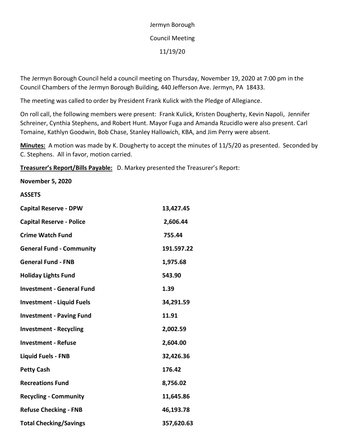# Jermyn Borough Council Meeting 11/19/20

The Jermyn Borough Council held a council meeting on Thursday, November 19, 2020 at 7:00 pm in the Council Chambers of the Jermyn Borough Building, 440 Jefferson Ave. Jermyn, PA 18433.

The meeting was called to order by President Frank Kulick with the Pledge of Allegiance.

On roll call, the following members were present: Frank Kulick, Kristen Dougherty, Kevin Napoli, Jennifer Schreiner, Cynthia Stephens, and Robert Hunt. Mayor Fuga and Amanda Rzucidlo were also present. Carl Tomaine, Kathlyn Goodwin, Bob Chase, Stanley Hallowich, KBA, and Jim Perry were absent.

**Minutes:** A motion was made by K. Dougherty to accept the minutes of 11/5/20 as presented. Seconded by C. Stephens. All in favor, motion carried.

**Treasurer's Report/Bills Payable:** D. Markey presented the Treasurer's Report:

### **November 5, 2020**

#### **ASSETS**

| <b>Capital Reserve - DPW</b>     | 13,427.45  |
|----------------------------------|------------|
| <b>Capital Reserve - Police</b>  | 2,606.44   |
| <b>Crime Watch Fund</b>          | 755.44     |
| <b>General Fund - Community</b>  | 191.597.22 |
| <b>General Fund - FNB</b>        | 1,975.68   |
| <b>Holiday Lights Fund</b>       | 543.90     |
| <b>Investment - General Fund</b> | 1.39       |
| <b>Investment - Liquid Fuels</b> | 34,291.59  |
| <b>Investment - Paving Fund</b>  | 11.91      |
| <b>Investment - Recycling</b>    | 2,002.59   |
| <b>Investment - Refuse</b>       | 2,604.00   |
| <b>Liquid Fuels - FNB</b>        | 32,426.36  |
| <b>Petty Cash</b>                | 176.42     |
| <b>Recreations Fund</b>          | 8,756.02   |
| <b>Recycling - Community</b>     | 11,645.86  |
| <b>Refuse Checking - FNB</b>     | 46,193.78  |
| <b>Total Checking/Savings</b>    | 357,620.63 |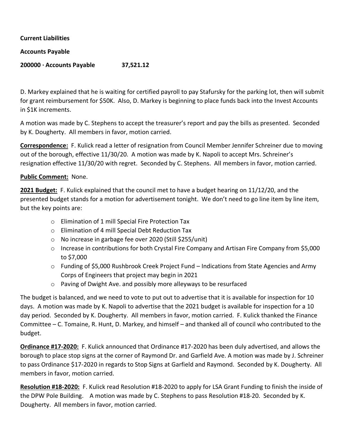**Current Liabilities**

#### **Accounts Payable**

# **200000 · Accounts Payable 37,521.12**

D. Markey explained that he is waiting for certified payroll to pay Stafursky for the parking lot, then will submit for grant reimbursement for \$50K. Also, D. Markey is beginning to place funds back into the Invest Accounts in \$1K increments.

A motion was made by C. Stephens to accept the treasurer's report and pay the bills as presented. Seconded by K. Dougherty. All members in favor, motion carried.

**Correspondence:** F. Kulick read a letter of resignation from Council Member Jennifer Schreiner due to moving out of the borough, effective 11/30/20. A motion was made by K. Napoli to accept Mrs. Schreiner's resignation effective 11/30/20 with regret. Seconded by C. Stephens. All members in favor, motion carried.

## **Public Comment:** None.

**2021 Budget:** F. Kulick explained that the council met to have a budget hearing on 11/12/20, and the presented budget stands for a motion for advertisement tonight. We don't need to go line item by line item, but the key points are:

- o Elimination of 1 mill Special Fire Protection Tax
- o Elimination of 4 mill Special Debt Reduction Tax
- o No increase in garbage fee over 2020 (Still \$255/unit)
- o Increase in contributions for both Crystal Fire Company and Artisan Fire Company from \$5,000 to \$7,000
- o Funding of \$5,000 Rushbrook Creek Project Fund Indications from State Agencies and Army Corps of Engineers that project may begin in 2021
- o Paving of Dwight Ave. and possibly more alleyways to be resurfaced

The budget is balanced, and we need to vote to put out to advertise that it is available for inspection for 10 days. A motion was made by K. Napoli to advertise that the 2021 budget is available for inspection for a 10 day period. Seconded by K. Dougherty. All members in favor, motion carried. F. Kulick thanked the Finance Committee – C. Tomaine, R. Hunt, D. Markey, and himself – and thanked all of council who contributed to the budget.

**Ordinance #17-2020:** F. Kulick announced that Ordinance #17-2020 has been duly advertised, and allows the borough to place stop signs at the corner of Raymond Dr. and Garfield Ave. A motion was made by J. Schreiner to pass Ordinance \$17-2020 in regards to Stop Signs at Garfield and Raymond. Seconded by K. Dougherty. All members in favor, motion carried.

**Resolution #18-2020:** F. Kulick read Resolution #18-2020 to apply for LSA Grant Funding to finish the inside of the DPW Pole Building. A motion was made by C. Stephens to pass Resolution #18-20. Seconded by K. Dougherty. All members in favor, motion carried.